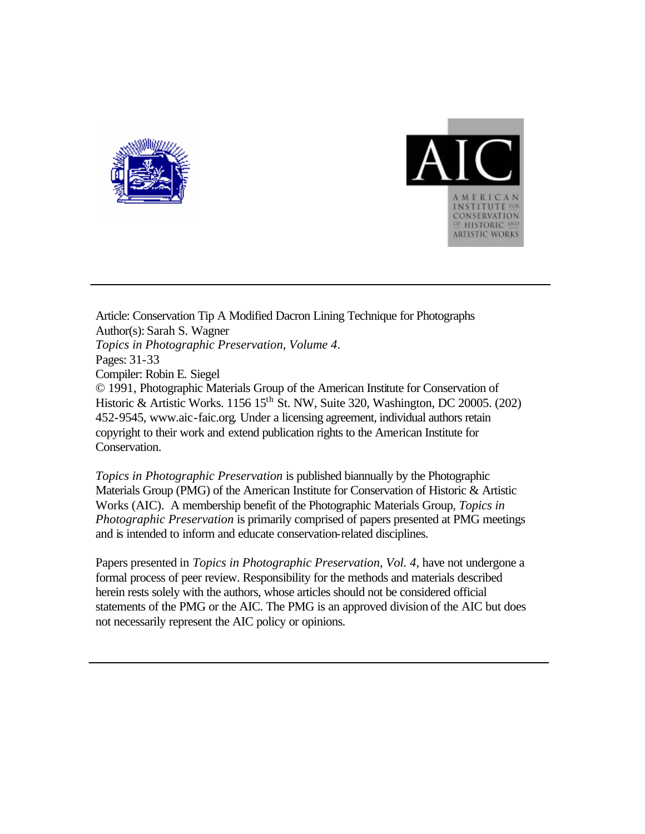



Article: Conservation Tip A Modified Dacron Lining Technique for Photographs Author(s): Sarah S. Wagner *Topics in Photographic Preservation, Volume 4*. Pages: 31-33 Compiler: Robin E. Siegel © 1991, Photographic Materials Group of the American Institute for Conservation of Historic & Artistic Works. 1156 15<sup>th</sup> St. NW, Suite 320, Washington, DC 20005. (202) 452-9545, www.aic-faic.org. Under a licensing agreement, individual authors retain copyright to their work and extend publication rights to the American Institute for Conservation.

*Topics in Photographic Preservation* is published biannually by the Photographic Materials Group (PMG) of the American Institute for Conservation of Historic & Artistic Works (AIC). A membership benefit of the Photographic Materials Group, *Topics in Photographic Preservation* is primarily comprised of papers presented at PMG meetings and is intended to inform and educate conservation-related disciplines.

Papers presented in *Topics in Photographic Preservation, Vol. 4*, have not undergone a formal process of peer review. Responsibility for the methods and materials described herein rests solely with the authors, whose articles should not be considered official statements of the PMG or the AIC. The PMG is an approved division of the AIC but does not necessarily represent the AIC policy or opinions.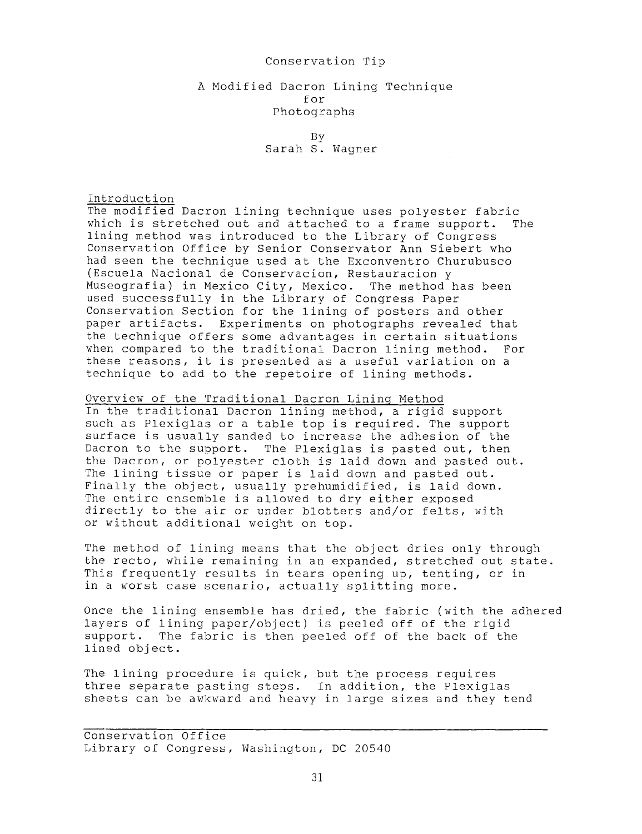### Conservation Tip

## A Modified Dacron Lining Technique for Photographs

BY Sarah S. Wagner

## Introduction

The modified Dacron lining technique uses polyester fabric which is stretched out and attached to a frame support. The lining method was introduced to the Library of Congress Conservation Office by Senior Conservator Ann Siebert who had seen the technique used at the Exconventro Churubusco (Escuela Nacional de Conservacion, Restauracion y Museografia) in Mexico City, Mexico. The method has been used successfully in the Library of Congress Paper Conservation Section for the lining of posters and other paper artifacts. Experiments on photographs revealed that the technique offers some advantages in certain situations when compared to the traditional Dacron lining method. For these reasons, it is presented as a useful variation on a technique to add to the repetoire of lining methods.

# Overview of the Traditional Dacron Lininq Method

In the traditional Dacron lining method, a rigid support such as Plexiglas or a table top is required. The support surface is usually sanded to increase the adhesion of the Dacron to the support. The Plexiglas is pasted out, then the Dacron, or polyester cloth is laid down and pasted out. The lining tissue or paper is laid down and pasted out. Finally the object, usually prehumidified, is laid down. The entire ensemble is allowed to dry either exposed directly to the air or under blotters and/or felts, with or without additional weight on top.

The method of lining means that the object dries only through the recto, while remaining in an expanded, stretched out state. This frequently results in tears opening up, tenting, or in in a worst case scenario, actually splitting more.

Once the lining ensemble has dried, the fabric (with the adhered layers of lining paper/object) is peeled off of the rigid support. The fabric is then peeled off of the back of the lined object.

The lining procedure is quick, but the process requires three separate pasting steps. In addition, the Plexiglas sheets can be awkward and heavy in large sizes and they tend The lin<br>three<br>sheets<br>Conser

Conservation Office Library of Congress, Washington, DC 20540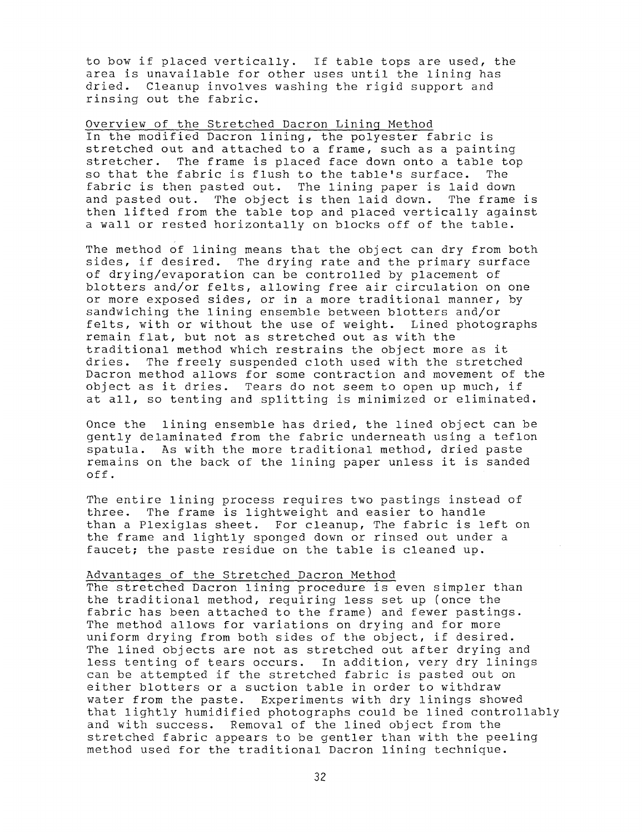to bow if placed vertically. If table tops are used, the area is unavailable for other uses until the lining has dried. Cleanup involves washing the rigid support and rinsing out the fabric.

Overview of the Stretched Dacron Lininq Method

In the modified Dacron lining, the polyester fabric is stretched out and attached to a frame, such as a painting<br>stretcher. The frame is placed face down onto a table to The frame is placed face down onto a table top so that the fabric is flush to the table's surface. The fabric is then pasted out. The lining paper is laid down and pasted out. The object is then laid down. The frame is then lifted from the table top and placed vertically against a wall or rested horizontally on blocks off of the table.

The method of lining means that the object can dry from both sides, if desired. The drying rate and the primary surface of drying/evaporation can be controlled by placement of blotters and/or felts, allowing free air circulation on one or more exposed sides, or in a more traditional manner, by sandwiching the lining ensemble between blotters and/or felts, with or without the use of weight. Lined photographs remain flat, but not as stretched out as with the traditional method which restrains the object more as it dries. The freely suspended cloth used with the stretched Dacron method allows for some contraction and movement of the object as it dries. Tears do not seem to open up much, if at all, so tenting and splitting is minimized or eliminated.

Once the lining ensemble has dried, the lined object can be gently delaminated from the fabric underneath using a teflon spatula. As with the more traditional method, dried paste remains on the back of the lining paper unless it is sanded off.

The entire lining process requires two pastings instead of three. The frame is lightweight and easier to handle than a Plexiglas sheet. For cleanup, The fabric is left on the frame and lightly sponged down or rinsed out under a faucet; the paste residue on the table is cleaned up.

## Advantaqes of the Stretched Dacron Method

The stretched Dacron lining procedure is even simpler than the traditional method, requiring less set up (once the fabric has been attached to the frame) and fewer pastings. The method allows for variations on drying and for more uniform drying from both sides of the object, if desired. The lined objects are not as stretched out after drying and less tenting of tears occurs. In addition, very dry linings can be attempted if the stretched fabric is pasted out on either blotters or a suction table in order to withdraw water from the paste. Experiments with dry linings showed that lightly humidified photographs could be lined controllably and with success. Removal of the lined object from the stretched fabric appears to be gentler than with the peeling method used for the traditional Dacron lining technique.